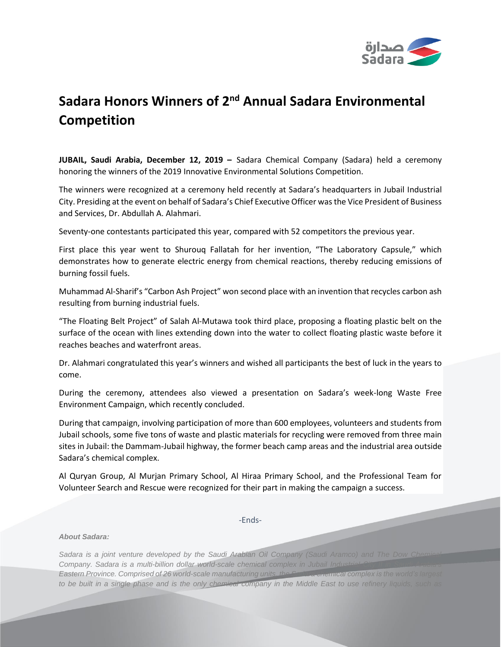

## **Sadara Honors Winners of 2<sup>nd</sup> Annual Sadara Environmental Competition**

**JUBAIL, Saudi Arabia, December 12, 2019 –** Sadara Chemical Company (Sadara) held a ceremony honoring the winners of the 2019 Innovative Environmental Solutions Competition.

The winners were recognized at a ceremony held recently at Sadara's headquarters in Jubail Industrial City. Presiding at the event on behalf of Sadara's Chief Executive Officer was the Vice President of Business and Services, Dr. Abdullah A. Alahmari.

Seventy-one contestants participated this year, compared with 52 competitors the previous year.

First place this year went to Shurouq Fallatah for her invention, "The Laboratory Capsule," which demonstrates how to generate electric energy from chemical reactions, thereby reducing emissions of burning fossil fuels.

Muhammad Al-Sharif's "Carbon Ash Project" won second place with an invention that recycles carbon ash resulting from burning industrial fuels.

"The Floating Belt Project" of Salah Al-Mutawa took third place, proposing a floating plastic belt on the surface of the ocean with lines extending down into the water to collect floating plastic waste before it reaches beaches and waterfront areas.

Dr. Alahmari congratulated this year's winners and wished all participants the best of luck in the years to come.

During the ceremony, attendees also viewed a presentation on Sadara's week-long Waste Free Environment Campaign, which recently concluded.

During that campaign, involving participation of more than 600 employees, volunteers and students from Jubail schools, some five tons of waste and plastic materials for recycling were removed from three main sites in Jubail: the Dammam-Jubail highway, the former beach camp areas and the industrial area outside Sadara's chemical complex.

Al Quryan Group, Al Murjan Primary School, Al Hiraa Primary School, and the Professional Team for Volunteer Search and Rescue were recognized for their part in making the campaign a success.

-Ends-

## *About Sadara:*

Sadara is a joint venture developed by the Saudi Arabian Oil Company (Saudi Aramco) and The Dow Chemical **State** *Company. Sadara is a multi-billion dollar world-scale chemical complex in Jubail Industrial City II in Saudi Arabia's Eastern Province. Comprised of 26 world-scale manufacturing units, the Sadara chemical complex is the world's largest to be built in a single phase and is the only chemical company in the Middle East to use refinery liquids, such as*